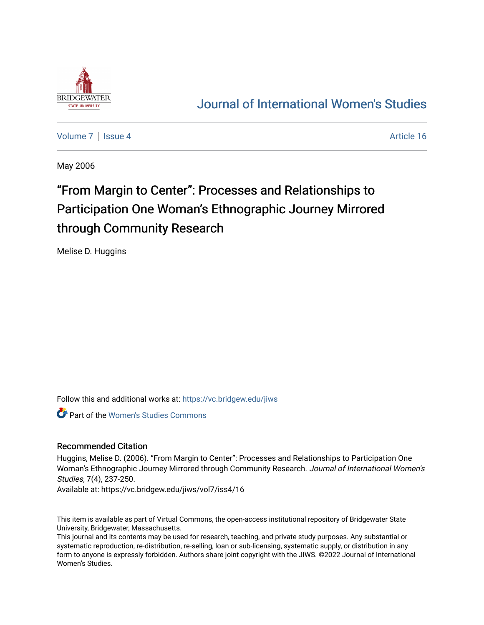

## [Journal of International Women's Studies](https://vc.bridgew.edu/jiws)

[Volume 7](https://vc.bridgew.edu/jiws/vol7) | [Issue 4](https://vc.bridgew.edu/jiws/vol7/iss4) Article 16

May 2006

# "From Margin to Center": Processes and Relationships to Participation One Woman's Ethnographic Journey Mirrored through Community Research

Melise D. Huggins

Follow this and additional works at: [https://vc.bridgew.edu/jiws](https://vc.bridgew.edu/jiws?utm_source=vc.bridgew.edu%2Fjiws%2Fvol7%2Fiss4%2F16&utm_medium=PDF&utm_campaign=PDFCoverPages)

Part of the [Women's Studies Commons](http://network.bepress.com/hgg/discipline/561?utm_source=vc.bridgew.edu%2Fjiws%2Fvol7%2Fiss4%2F16&utm_medium=PDF&utm_campaign=PDFCoverPages) 

#### Recommended Citation

Huggins, Melise D. (2006). "From Margin to Center": Processes and Relationships to Participation One Woman's Ethnographic Journey Mirrored through Community Research. Journal of International Women's Studies, 7(4), 237-250.

Available at: https://vc.bridgew.edu/jiws/vol7/iss4/16

This item is available as part of Virtual Commons, the open-access institutional repository of Bridgewater State University, Bridgewater, Massachusetts.

This journal and its contents may be used for research, teaching, and private study purposes. Any substantial or systematic reproduction, re-distribution, re-selling, loan or sub-licensing, systematic supply, or distribution in any form to anyone is expressly forbidden. Authors share joint copyright with the JIWS. ©2022 Journal of International Women's Studies.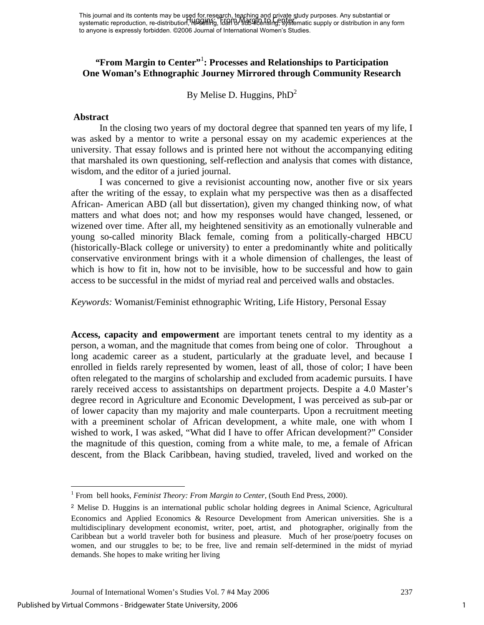This journal and its contents may be used for research, teaching and private study purposes. Any substantial or systematic reproduction, re-distribution, resselling, loan or sub-licensing, systematic supply or distribution in any form to anyone is expressly forbidden. ©2006 Journal of International Women's Studies. Huggins: "From Margin to Center"

### "**From Margin to Center"**: Processes and Relationships to Participation **One Woman's Ethnographic Journey Mirrored through Community Research**

By Melise D. Huggins,  $PhD<sup>2</sup>$ 

#### **Abstract**

 In the closing two years of my doctoral degree that spanned ten years of my life, I was asked by a mentor to write a personal essay on my academic experiences at the university. That essay follows and is printed here not without the accompanying editing that marshaled its own questioning, self-reflection and analysis that comes with distance, wisdom, and the editor of a juried journal.

 I was concerned to give a revisionist accounting now, another five or six years after the writing of the essay, to explain what my perspective was then as a disaffected African- American ABD (all but dissertation), given my changed thinking now, of what matters and what does not; and how my responses would have changed, lessened, or wizened over time. After all, my heightened sensitivity as an emotionally vulnerable and young so-called minority Black female, coming from a politically-charged HBCU (historically-Black college or university) to enter a predominantly white and politically conservative environment brings with it a whole dimension of challenges, the least of which is how to fit in, how not to be invisible, how to be successful and how to gain access to be successful in the midst of myriad real and perceived walls and obstacles.

*Keywords:* Womanist/Feminist ethnographic Writing, Life History, Personal Essay

**Access, capacity and empowerment** are important tenets central to my identity as a person, a woman, and the magnitude that comes from being one of color. Throughout a long academic career as a student, particularly at the graduate level, and because I enrolled in fields rarely represented by women, least of all, those of color; I have been often relegated to the margins of scholarship and excluded from academic pursuits. I have rarely received access to assistantships on department projects. Despite a 4.0 Master's degree record in Agriculture and Economic Development, I was perceived as sub-par or of lower capacity than my majority and male counterparts. Upon a recruitment meeting with a preeminent scholar of African development, a white male, one with whom I wished to work, I was asked, "What did I have to offer African development?" Consider the magnitude of this question, coming from a white male, to me, a female of African descent, from the Black Caribbean, having studied, traveled, lived and worked on the

 $\overline{a}$ 

<span id="page-1-0"></span><sup>&</sup>lt;sup>1</sup> From bell hooks, *Feminist Theory: From Margin to Center*, (South End Press, 2000).

<span id="page-1-1"></span><sup>2</sup> Melise D. Huggins is an international public scholar holding degrees in Animal Science, Agricultural Economics and Applied Economics & Resource Development from American universities. She is a multidisciplinary development economist, writer, poet, artist, and photographer, originally from the Caribbean but a world traveler both for business and pleasure. Much of her prose/poetry focuses on women, and our struggles to be; to be free, live and remain self-determined in the midst of myriad demands. She hopes to make writing her living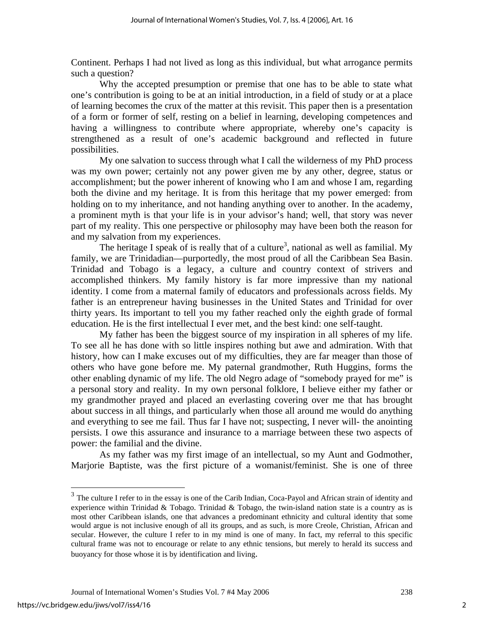Continent. Perhaps I had not lived as long as this individual, but what arrogance permits such a question?

 Why the accepted presumption or premise that one has to be able to state what one's contribution is going to be at an initial introduction, in a field of study or at a place of learning becomes the crux of the matter at this revisit. This paper then is a presentation of a form or former of self, resting on a belief in learning, developing competences and having a willingness to contribute where appropriate, whereby one's capacity is strengthened as a result of one's academic background and reflected in future possibilities.

 My one salvation to success through what I call the wilderness of my PhD process was my own power; certainly not any power given me by any other, degree, status or accomplishment; but the power inherent of knowing who I am and whose I am, regarding both the divine and my heritage. It is from this heritage that my power emerged: from holding on to my inheritance, and not handing anything over to another. In the academy, a prominent myth is that your life is in your advisor's hand; well, that story was never part of my reality. This one perspective or philosophy may have been both the reason for and my salvation from my experiences.

The heritage I speak of is really that of a culture<sup>3</sup>, national as well as familial. My family, we are Trinidadian—purportedly, the most proud of all the Caribbean Sea Basin. Trinidad and Tobago is a legacy, a culture and country context of strivers and accomplished thinkers. My family history is far more impressive than my national identity. I come from a maternal family of educators and professionals across fields. My father is an entrepreneur having businesses in the United States and Trinidad for over thirty years. Its important to tell you my father reached only the eighth grade of formal education. He is the first intellectual I ever met, and the best kind: one self-taught.

My father has been the biggest source of my inspiration in all spheres of my life. To see all he has done with so little inspires nothing but awe and admiration. With that history, how can I make excuses out of my difficulties, they are far meager than those of others who have gone before me. My paternal grandmother, Ruth Huggins, forms the other enabling dynamic of my life. The old Negro adage of "somebody prayed for me" is a personal story and reality. In my own personal folklore, I believe either my father or my grandmother prayed and placed an everlasting covering over me that has brought about success in all things, and particularly when those all around me would do anything and everything to see me fail. Thus far I have not; suspecting, I never will- the anointing persists. I owe this assurance and insurance to a marriage between these two aspects of power: the familial and the divine.

As my father was my first image of an intellectual, so my Aunt and Godmother, Marjorie Baptiste, was the first picture of a womanist/feminist. She is one of three

1

<span id="page-2-0"></span><sup>&</sup>lt;sup>3</sup> The culture I refer to in the essay is one of the Carib Indian, Coca-Payol and African strain of identity and experience within Trinidad & Tobago. Trinidad & Tobago, the twin-island nation state is a country as is most other Caribbean islands, one that advances a predominant ethnicity and cultural identity that some would argue is not inclusive enough of all its groups, and as such, is more Creole, Christian, African and secular. However, the culture I refer to in my mind is one of many. In fact, my referral to this specific cultural frame was not to encourage or relate to any ethnic tensions, but merely to herald its success and buoyancy for those whose it is by identification and living.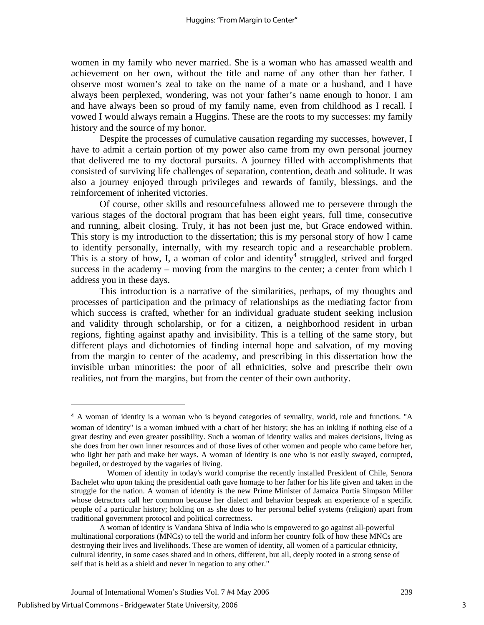women in my family who never married. She is a woman who has amassed wealth and achievement on her own, without the title and name of any other than her father. I observe most women's zeal to take on the name of a mate or a husband, and I have always been perplexed, wondering, was not your father's name enough to honor. I am and have always been so proud of my family name, even from childhood as I recall. I vowed I would always remain a Huggins. These are the roots to my successes: my family history and the source of my honor.

Despite the processes of cumulative causation regarding my successes, however, I have to admit a certain portion of my power also came from my own personal journey that delivered me to my doctoral pursuits. A journey filled with accomplishments that consisted of surviving life challenges of separation, contention, death and solitude. It was also a journey enjoyed through privileges and rewards of family, blessings, and the reinforcement of inherited victories.

 Of course, other skills and resourcefulness allowed me to persevere through the various stages of the doctoral program that has been eight years, full time, consecutive and running, albeit closing. Truly, it has not been just me, but Grace endowed within. This story is my introduction to the dissertation; this is my personal story of how I came to identify personally, internally, with my research topic and a researchable problem. This is a story of how, I, a woman of color and identity<sup>4</sup> struggled, strived and forged success in the academy – moving from the margins to the center; a center from which I address you in these days.

This introduction is a narrative of the similarities, perhaps, of my thoughts and processes of participation and the primacy of relationships as the mediating factor from which success is crafted, whether for an individual graduate student seeking inclusion and validity through scholarship, or for a citizen, a neighborhood resident in urban regions, fighting against apathy and invisibility. This is a telling of the same story, but different plays and dichotomies of finding internal hope and salvation, of my moving from the margin to center of the academy, and prescribing in this dissertation how the invisible urban minorities: the poor of all ethnicities, solve and prescribe their own realities, not from the margins, but from the center of their own authority.

 $\overline{a}$ 

<span id="page-3-0"></span><sup>4</sup> A woman of identity is a woman who is beyond categories of sexuality, world, role and functions. "A woman of identity" is a woman imbued with a chart of her history; she has an inkling if nothing else of a

great destiny and even greater possibility. Such a woman of identity walks and makes decisions, living as she does from her own inner resources and of those lives of other women and people who came before her, who light her path and make her ways. A woman of identity is one who is not easily swayed, corrupted, beguiled, or destroyed by the vagaries of living.

Women of identity in today's world comprise the recently installed President of Chile, Senora Bachelet who upon taking the presidential oath gave homage to her father for his life given and taken in the struggle for the nation. A woman of identity is the new Prime Minister of Jamaica Portia Simpson Miller whose detractors call her common because her dialect and behavior bespeak an experience of a specific people of a particular history; holding on as she does to her personal belief systems (religion) apart from traditional government protocol and political correctness.

A woman of identity is Vandana Shiva of India who is empowered to go against all-powerful multinational corporations (MNCs) to tell the world and inform her country folk of how these MNCs are destroying their lives and livelihoods. These are women of identity, all women of a particular ethnicity, cultural identity, in some cases shared and in others, different, but all, deeply rooted in a strong sense of self that is held as a shield and never in negation to any other."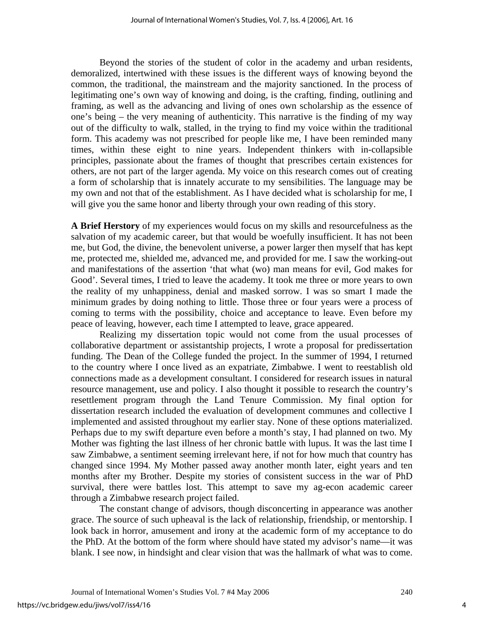Beyond the stories of the student of color in the academy and urban residents, demoralized, intertwined with these issues is the different ways of knowing beyond the common, the traditional, the mainstream and the majority sanctioned. In the process of legitimating one's own way of knowing and doing, is the crafting, finding, outlining and framing, as well as the advancing and living of ones own scholarship as the essence of one's being – the very meaning of authenticity. This narrative is the finding of my way out of the difficulty to walk, stalled, in the trying to find my voice within the traditional form. This academy was not prescribed for people like me, I have been reminded many times, within these eight to nine years. Independent thinkers with in-collapsible principles, passionate about the frames of thought that prescribes certain existences for others, are not part of the larger agenda. My voice on this research comes out of creating a form of scholarship that is innately accurate to my sensibilities. The language may be my own and not that of the establishment. As I have decided what is scholarship for me, I will give you the same honor and liberty through your own reading of this story.

**A Brief Herstory** of my experiences would focus on my skills and resourcefulness as the salvation of my academic career, but that would be woefully insufficient. It has not been me, but God, the divine, the benevolent universe, a power larger then myself that has kept me, protected me, shielded me, advanced me, and provided for me. I saw the working-out and manifestations of the assertion 'that what (wo) man means for evil, God makes for Good'. Several times, I tried to leave the academy. It took me three or more years to own the reality of my unhappiness, denial and masked sorrow. I was so smart I made the minimum grades by doing nothing to little. Those three or four years were a process of coming to terms with the possibility, choice and acceptance to leave. Even before my peace of leaving, however, each time I attempted to leave, grace appeared.

Realizing my dissertation topic would not come from the usual processes of collaborative department or assistantship projects, I wrote a proposal for predissertation funding. The Dean of the College funded the project. In the summer of 1994, I returned to the country where I once lived as an expatriate, Zimbabwe. I went to reestablish old connections made as a development consultant. I considered for research issues in natural resource management, use and policy. I also thought it possible to research the country's resettlement program through the Land Tenure Commission. My final option for dissertation research included the evaluation of development communes and collective I implemented and assisted throughout my earlier stay. None of these options materialized. Perhaps due to my swift departure even before a month's stay, I had planned on two. My Mother was fighting the last illness of her chronic battle with lupus. It was the last time I saw Zimbabwe, a sentiment seeming irrelevant here, if not for how much that country has changed since 1994. My Mother passed away another month later, eight years and ten months after my Brother. Despite my stories of consistent success in the war of PhD survival, there were battles lost. This attempt to save my ag-econ academic career through a Zimbabwe research project failed.

The constant change of advisors, though disconcerting in appearance was another grace. The source of such upheaval is the lack of relationship, friendship, or mentorship. I look back in horror, amusement and irony at the academic form of my acceptance to do the PhD. At the bottom of the form where should have stated my advisor's name—it was blank. I see now, in hindsight and clear vision that was the hallmark of what was to come.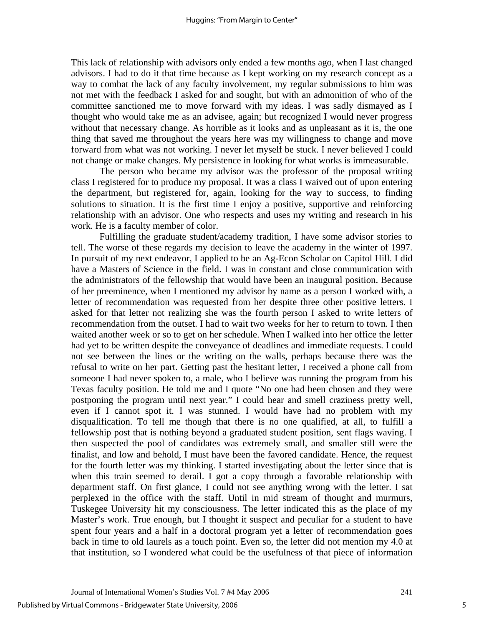This lack of relationship with advisors only ended a few months ago, when I last changed advisors. I had to do it that time because as I kept working on my research concept as a way to combat the lack of any faculty involvement, my regular submissions to him was not met with the feedback I asked for and sought, but with an admonition of who of the committee sanctioned me to move forward with my ideas. I was sadly dismayed as I thought who would take me as an advisee, again; but recognized I would never progress without that necessary change. As horrible as it looks and as unpleasant as it is, the one thing that saved me throughout the years here was my willingness to change and move forward from what was not working. I never let myself be stuck. I never believed I could not change or make changes. My persistence in looking for what works is immeasurable.

The person who became my advisor was the professor of the proposal writing class I registered for to produce my proposal. It was a class I waived out of upon entering the department, but registered for, again, looking for the way to success, to finding solutions to situation. It is the first time I enjoy a positive, supportive and reinforcing relationship with an advisor. One who respects and uses my writing and research in his work. He is a faculty member of color.

Fulfilling the graduate student/academy tradition, I have some advisor stories to tell. The worse of these regards my decision to leave the academy in the winter of 1997. In pursuit of my next endeavor, I applied to be an Ag-Econ Scholar on Capitol Hill. I did have a Masters of Science in the field. I was in constant and close communication with the administrators of the fellowship that would have been an inaugural position. Because of her preeminence, when I mentioned my advisor by name as a person I worked with, a letter of recommendation was requested from her despite three other positive letters. I asked for that letter not realizing she was the fourth person I asked to write letters of recommendation from the outset. I had to wait two weeks for her to return to town. I then waited another week or so to get on her schedule. When I walked into her office the letter had yet to be written despite the conveyance of deadlines and immediate requests. I could not see between the lines or the writing on the walls, perhaps because there was the refusal to write on her part. Getting past the hesitant letter, I received a phone call from someone I had never spoken to, a male, who I believe was running the program from his Texas faculty position. He told me and I quote "No one had been chosen and they were postponing the program until next year." I could hear and smell craziness pretty well, even if I cannot spot it. I was stunned. I would have had no problem with my disqualification. To tell me though that there is no one qualified, at all, to fulfill a fellowship post that is nothing beyond a graduated student position, sent flags waving. I then suspected the pool of candidates was extremely small, and smaller still were the finalist, and low and behold, I must have been the favored candidate. Hence, the request for the fourth letter was my thinking. I started investigating about the letter since that is when this train seemed to derail. I got a copy through a favorable relationship with department staff. On first glance, I could not see anything wrong with the letter. I sat perplexed in the office with the staff. Until in mid stream of thought and murmurs, Tuskegee University hit my consciousness. The letter indicated this as the place of my Master's work. True enough, but I thought it suspect and peculiar for a student to have spent four years and a half in a doctoral program yet a letter of recommendation goes back in time to old laurels as a touch point. Even so, the letter did not mention my 4.0 at that institution, so I wondered what could be the usefulness of that piece of information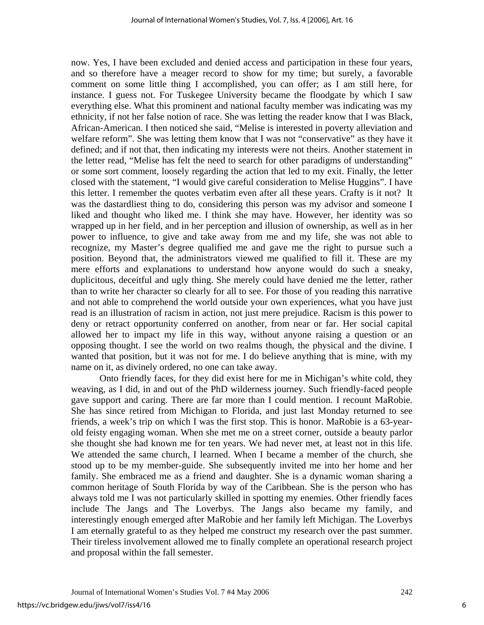now. Yes, I have been excluded and denied access and participation in these four years, and so therefore have a meager record to show for my time; but surely, a favorable comment on some little thing I accomplished, you can offer; as I am still here, for instance. I guess not. For Tuskegee University became the floodgate by which I saw everything else. What this prominent and national faculty member was indicating was my ethnicity, if not her false notion of race. She was letting the reader know that I was Black, African-American. I then noticed she said, "Melise is interested in poverty alleviation and welfare reform". She was letting them know that I was not "conservative" as they have it defined; and if not that, then indicating my interests were not theirs. Another statement in the letter read, "Melise has felt the need to search for other paradigms of understanding" or some sort comment, loosely regarding the action that led to my exit. Finally, the letter closed with the statement, "I would give careful consideration to Melise Huggins". I have this letter. I remember the quotes verbatim even after all these years. Crafty is it not? It was the dastardliest thing to do, considering this person was my advisor and someone I liked and thought who liked me. I think she may have. However, her identity was so wrapped up in her field, and in her perception and illusion of ownership, as well as in her power to influence, to give and take away from me and my life, she was not able to recognize, my Master's degree qualified me and gave me the right to pursue such a position. Beyond that, the administrators viewed me qualified to fill it. These are my mere efforts and explanations to understand how anyone would do such a sneaky, duplicitous, deceitful and ugly thing. She merely could have denied me the letter, rather than to write her character so clearly for all to see. For those of you reading this narrative and not able to comprehend the world outside your own experiences, what you have just read is an illustration of racism in action, not just mere prejudice. Racism is this power to deny or retract opportunity conferred on another, from near or far. Her social capital allowed her to impact my life in this way, without anyone raising a question or an opposing thought. I see the world on two realms though, the physical and the divine. I wanted that position, but it was not for me. I do believe anything that is mine, with my name on it, as divinely ordered, no one can take away.

Onto friendly faces, for they did exist here for me in Michigan's white cold, they weaving, as I did, in and out of the PhD wilderness journey. Such friendly-faced people gave support and caring. There are far more than I could mention. I recount MaRobie. She has since retired from Michigan to Florida, and just last Monday returned to see friends, a week's trip on which I was the first stop. This is honor. MaRobie is a 63-yearold feisty engaging woman. When she met me on a street corner, outside a beauty parlor she thought she had known me for ten years. We had never met, at least not in this life. We attended the same church, I learned. When I became a member of the church, she stood up to be my member-guide. She subsequently invited me into her home and her family. She embraced me as a friend and daughter. She is a dynamic woman sharing a common heritage of South Florida by way of the Caribbean. She is the person who has always told me I was not particularly skilled in spotting my enemies. Other friendly faces include The Jangs and The Loverbys. The Jangs also became my family, and interestingly enough emerged after MaRobie and her family left Michigan. The Loverbys I am eternally grateful to as they helped me construct my research over the past summer. Their tireless involvement allowed me to finally complete an operational research project and proposal within the fall semester.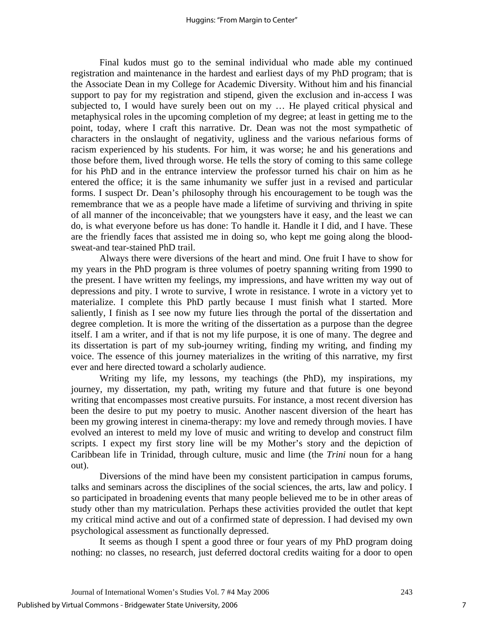Final kudos must go to the seminal individual who made able my continued registration and maintenance in the hardest and earliest days of my PhD program; that is the Associate Dean in my College for Academic Diversity. Without him and his financial support to pay for my registration and stipend, given the exclusion and in-access I was subjected to, I would have surely been out on my … He played critical physical and metaphysical roles in the upcoming completion of my degree; at least in getting me to the point, today, where I craft this narrative. Dr. Dean was not the most sympathetic of characters in the onslaught of negativity, ugliness and the various nefarious forms of racism experienced by his students. For him, it was worse; he and his generations and those before them, lived through worse. He tells the story of coming to this same college for his PhD and in the entrance interview the professor turned his chair on him as he entered the office; it is the same inhumanity we suffer just in a revised and particular forms. I suspect Dr. Dean's philosophy through his encouragement to be tough was the remembrance that we as a people have made a lifetime of surviving and thriving in spite of all manner of the inconceivable; that we youngsters have it easy, and the least we can do, is what everyone before us has done: To handle it. Handle it I did, and I have. These are the friendly faces that assisted me in doing so, who kept me going along the bloodsweat-and tear-stained PhD trail.

Always there were diversions of the heart and mind. One fruit I have to show for my years in the PhD program is three volumes of poetry spanning writing from 1990 to the present. I have written my feelings, my impressions, and have written my way out of depressions and pity. I wrote to survive, I wrote in resistance. I wrote in a victory yet to materialize. I complete this PhD partly because I must finish what I started. More saliently, I finish as I see now my future lies through the portal of the dissertation and degree completion. It is more the writing of the dissertation as a purpose than the degree itself. I am a writer, and if that is not my life purpose, it is one of many. The degree and its dissertation is part of my sub-journey writing, finding my writing, and finding my voice. The essence of this journey materializes in the writing of this narrative, my first ever and here directed toward a scholarly audience.

Writing my life, my lessons, my teachings (the PhD), my inspirations, my journey, my dissertation, my path, writing my future and that future is one beyond writing that encompasses most creative pursuits. For instance, a most recent diversion has been the desire to put my poetry to music. Another nascent diversion of the heart has been my growing interest in cinema-therapy: my love and remedy through movies. I have evolved an interest to meld my love of music and writing to develop and construct film scripts. I expect my first story line will be my Mother's story and the depiction of Caribbean life in Trinidad, through culture, music and lime (the *Trini* noun for a hang out).

Diversions of the mind have been my consistent participation in campus forums, talks and seminars across the disciplines of the social sciences, the arts, law and policy. I so participated in broadening events that many people believed me to be in other areas of study other than my matriculation. Perhaps these activities provided the outlet that kept my critical mind active and out of a confirmed state of depression. I had devised my own psychological assessment as functionally depressed.

 It seems as though I spent a good three or four years of my PhD program doing nothing: no classes, no research, just deferred doctoral credits waiting for a door to open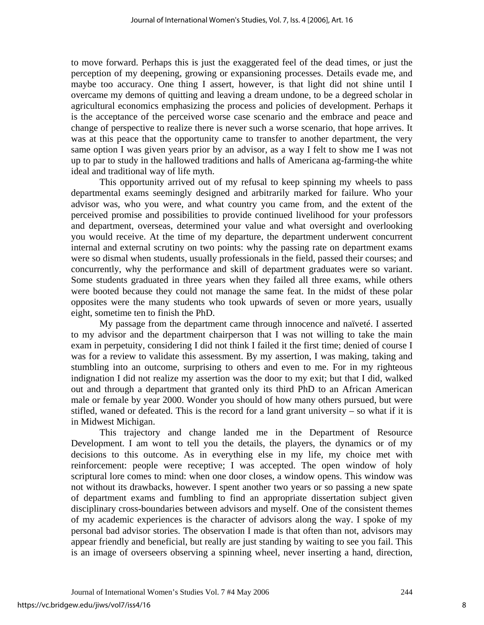to move forward. Perhaps this is just the exaggerated feel of the dead times, or just the perception of my deepening, growing or expansioning processes. Details evade me, and maybe too accuracy. One thing I assert, however, is that light did not shine until I overcame my demons of quitting and leaving a dream undone, to be a degreed scholar in agricultural economics emphasizing the process and policies of development. Perhaps it is the acceptance of the perceived worse case scenario and the embrace and peace and change of perspective to realize there is never such a worse scenario, that hope arrives. It was at this peace that the opportunity came to transfer to another department, the very same option I was given years prior by an advisor, as a way I felt to show me I was not up to par to study in the hallowed traditions and halls of Americana ag-farming-the white ideal and traditional way of life myth.

 This opportunity arrived out of my refusal to keep spinning my wheels to pass departmental exams seemingly designed and arbitrarily marked for failure. Who your advisor was, who you were, and what country you came from, and the extent of the perceived promise and possibilities to provide continued livelihood for your professors and department, overseas, determined your value and what oversight and overlooking you would receive. At the time of my departure, the department underwent concurrent internal and external scrutiny on two points: why the passing rate on department exams were so dismal when students, usually professionals in the field, passed their courses; and concurrently, why the performance and skill of department graduates were so variant. Some students graduated in three years when they failed all three exams, while others were booted because they could not manage the same feat. In the midst of these polar opposites were the many students who took upwards of seven or more years, usually eight, sometime ten to finish the PhD.

 My passage from the department came through innocence and naïveté. I asserted to my advisor and the department chairperson that I was not willing to take the main exam in perpetuity, considering I did not think I failed it the first time; denied of course I was for a review to validate this assessment. By my assertion, I was making, taking and stumbling into an outcome, surprising to others and even to me. For in my righteous indignation I did not realize my assertion was the door to my exit; but that I did, walked out and through a department that granted only its third PhD to an African American male or female by year 2000. Wonder you should of how many others pursued, but were stifled, waned or defeated. This is the record for a land grant university  $-$  so what if it is in Midwest Michigan.

 This trajectory and change landed me in the Department of Resource Development. I am wont to tell you the details, the players, the dynamics or of my decisions to this outcome. As in everything else in my life, my choice met with reinforcement: people were receptive; I was accepted. The open window of holy scriptural lore comes to mind: when one door closes, a window opens. This window was not without its drawbacks, however. I spent another two years or so passing a new spate of department exams and fumbling to find an appropriate dissertation subject given disciplinary cross-boundaries between advisors and myself. One of the consistent themes of my academic experiences is the character of advisors along the way. I spoke of my personal bad advisor stories. The observation I made is that often than not, advisors may appear friendly and beneficial, but really are just standing by waiting to see you fail. This is an image of overseers observing a spinning wheel, never inserting a hand, direction,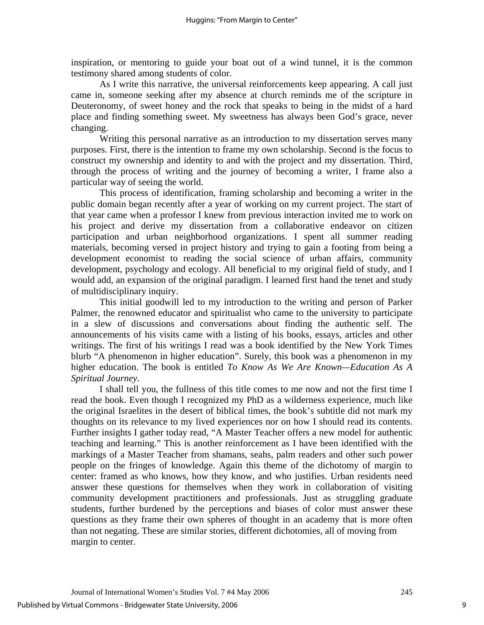inspiration, or mentoring to guide your boat out of a wind tunnel, it is the common testimony shared among students of color.

 As I write this narrative, the universal reinforcements keep appearing. A call just came in, someone seeking after my absence at church reminds me of the scripture in Deuteronomy, of sweet honey and the rock that speaks to being in the midst of a hard place and finding something sweet. My sweetness has always been God's grace, never changing.

 Writing this personal narrative as an introduction to my dissertation serves many purposes. First, there is the intention to frame my own scholarship. Second is the focus to construct my ownership and identity to and with the project and my dissertation. Third, through the process of writing and the journey of becoming a writer, I frame also a particular way of seeing the world.

This process of identification, framing scholarship and becoming a writer in the public domain began recently after a year of working on my current project. The start of that year came when a professor I knew from previous interaction invited me to work on his project and derive my dissertation from a collaborative endeavor on citizen participation and urban neighborhood organizations. I spent all summer reading materials, becoming versed in project history and trying to gain a footing from being a development economist to reading the social science of urban affairs, community development, psychology and ecology. All beneficial to my original field of study, and I would add, an expansion of the original paradigm. I learned first hand the tenet and study of multidisciplinary inquiry.

 This initial goodwill led to my introduction to the writing and person of Parker Palmer, the renowned educator and spiritualist who came to the university to participate in a slew of discussions and conversations about finding the authentic self. The announcements of his visits came with a listing of his books, essays, articles and other writings. The first of his writings I read was a book identified by the New York Times blurb "A phenomenon in higher education". Surely, this book was a phenomenon in my higher education. The book is entitled *To Know As We Are Known—Education As A Spiritual Journey*.

I shall tell you, the fullness of this title comes to me now and not the first time I read the book. Even though I recognized my PhD as a wilderness experience, much like the original Israelites in the desert of biblical times, the book's subtitle did not mark my thoughts on its relevance to my lived experiences nor on how I should read its contents. Further insights I gather today read, "A Master Teacher offers a new model for authentic teaching and learning." This is another reinforcement as I have been identified with the markings of a Master Teacher from shamans, seahs, palm readers and other such power people on the fringes of knowledge. Again this theme of the dichotomy of margin to center: framed as who knows, how they know, and who justifies. Urban residents need answer these questions for themselves when they work in collaboration of visiting community development practitioners and professionals. Just as struggling graduate students, further burdened by the perceptions and biases of color must answer these questions as they frame their own spheres of thought in an academy that is more often than not negating. These are similar stories, different dichotomies, all of moving from margin to center.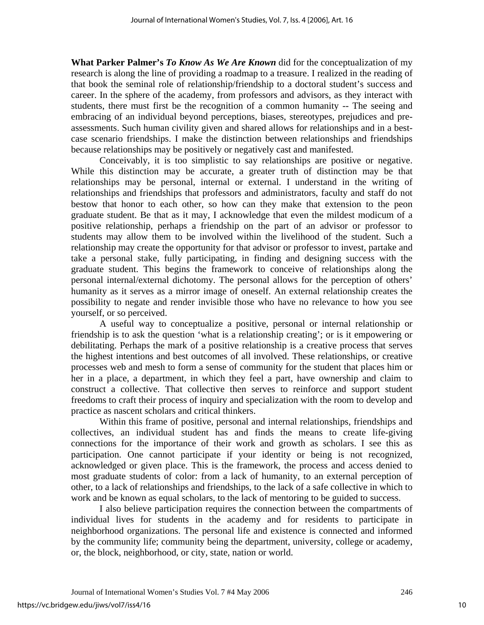**What Parker Palmer's** *To Know As We Are Known* did for the conceptualization of my research is along the line of providing a roadmap to a treasure. I realized in the reading of that book the seminal role of relationship/friendship to a doctoral student's success and career. In the sphere of the academy, from professors and advisors, as they interact with students, there must first be the recognition of a common humanity -- The seeing and embracing of an individual beyond perceptions, biases, stereotypes, prejudices and preassessments. Such human civility given and shared allows for relationships and in a bestcase scenario friendships. I make the distinction between relationships and friendships because relationships may be positively or negatively cast and manifested.

Conceivably, it is too simplistic to say relationships are positive or negative. While this distinction may be accurate, a greater truth of distinction may be that relationships may be personal, internal or external. I understand in the writing of relationships and friendships that professors and administrators, faculty and staff do not bestow that honor to each other, so how can they make that extension to the peon graduate student. Be that as it may, I acknowledge that even the mildest modicum of a positive relationship, perhaps a friendship on the part of an advisor or professor to students may allow them to be involved within the livelihood of the student. Such a relationship may create the opportunity for that advisor or professor to invest, partake and take a personal stake, fully participating, in finding and designing success with the graduate student. This begins the framework to conceive of relationships along the personal internal/external dichotomy. The personal allows for the perception of others' humanity as it serves as a mirror image of oneself. An external relationship creates the possibility to negate and render invisible those who have no relevance to how you see yourself, or so perceived.

A useful way to conceptualize a positive, personal or internal relationship or friendship is to ask the question 'what is a relationship creating'; or is it empowering or debilitating. Perhaps the mark of a positive relationship is a creative process that serves the highest intentions and best outcomes of all involved. These relationships, or creative processes web and mesh to form a sense of community for the student that places him or her in a place, a department, in which they feel a part, have ownership and claim to construct a collective. That collective then serves to reinforce and support student freedoms to craft their process of inquiry and specialization with the room to develop and practice as nascent scholars and critical thinkers.

Within this frame of positive, personal and internal relationships, friendships and collectives, an individual student has and finds the means to create life-giving connections for the importance of their work and growth as scholars. I see this as participation. One cannot participate if your identity or being is not recognized, acknowledged or given place. This is the framework, the process and access denied to most graduate students of color: from a lack of humanity, to an external perception of other, to a lack of relationships and friendships, to the lack of a safe collective in which to work and be known as equal scholars, to the lack of mentoring to be guided to success.

I also believe participation requires the connection between the compartments of individual lives for students in the academy and for residents to participate in neighborhood organizations. The personal life and existence is connected and informed by the community life; community being the department, university, college or academy, or, the block, neighborhood, or city, state, nation or world.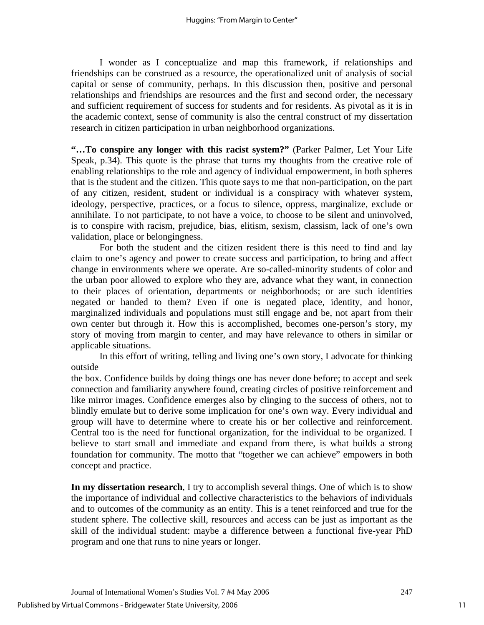I wonder as I conceptualize and map this framework, if relationships and friendships can be construed as a resource, the operationalized unit of analysis of social capital or sense of community, perhaps. In this discussion then, positive and personal relationships and friendships are resources and the first and second order, the necessary and sufficient requirement of success for students and for residents. As pivotal as it is in the academic context, sense of community is also the central construct of my dissertation research in citizen participation in urban neighborhood organizations.

**"…To conspire any longer with this racist system?"** (Parker Palmer, Let Your Life Speak, p.34). This quote is the phrase that turns my thoughts from the creative role of enabling relationships to the role and agency of individual empowerment, in both spheres that is the student and the citizen. This quote says to me that non-participation, on the part of any citizen, resident, student or individual is a conspiracy with whatever system, ideology, perspective, practices, or a focus to silence, oppress, marginalize, exclude or annihilate. To not participate, to not have a voice, to choose to be silent and uninvolved, is to conspire with racism, prejudice, bias, elitism, sexism, classism, lack of one's own validation, place or belongingness.

 For both the student and the citizen resident there is this need to find and lay claim to one's agency and power to create success and participation, to bring and affect change in environments where we operate. Are so-called-minority students of color and the urban poor allowed to explore who they are, advance what they want, in connection to their places of orientation, departments or neighborhoods; or are such identities negated or handed to them? Even if one is negated place, identity, and honor, marginalized individuals and populations must still engage and be, not apart from their own center but through it. How this is accomplished, becomes one-person's story, my story of moving from margin to center, and may have relevance to others in similar or applicable situations.

 In this effort of writing, telling and living one's own story, I advocate for thinking outside

the box. Confidence builds by doing things one has never done before; to accept and seek connection and familiarity anywhere found, creating circles of positive reinforcement and like mirror images. Confidence emerges also by clinging to the success of others, not to blindly emulate but to derive some implication for one's own way. Every individual and group will have to determine where to create his or her collective and reinforcement. Central too is the need for functional organization, for the individual to be organized. I believe to start small and immediate and expand from there, is what builds a strong foundation for community. The motto that "together we can achieve" empowers in both concept and practice.

**In my dissertation research**, I try to accomplish several things. One of which is to show the importance of individual and collective characteristics to the behaviors of individuals and to outcomes of the community as an entity. This is a tenet reinforced and true for the student sphere. The collective skill, resources and access can be just as important as the skill of the individual student: maybe a difference between a functional five-year PhD program and one that runs to nine years or longer.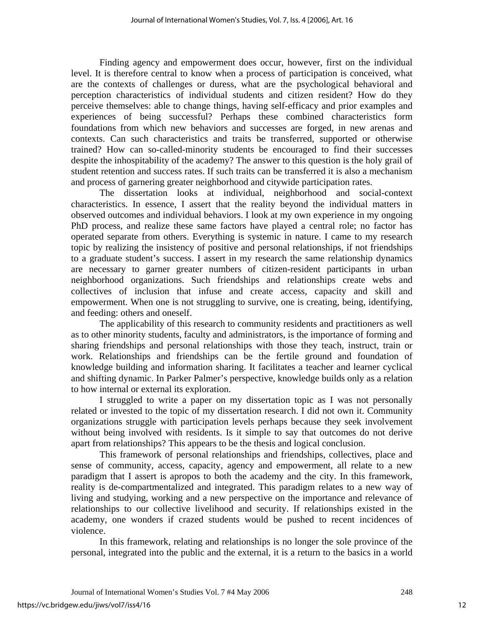Finding agency and empowerment does occur, however, first on the individual level. It is therefore central to know when a process of participation is conceived, what are the contexts of challenges or duress, what are the psychological behavioral and perception characteristics of individual students and citizen resident? How do they perceive themselves: able to change things, having self-efficacy and prior examples and experiences of being successful? Perhaps these combined characteristics form foundations from which new behaviors and successes are forged, in new arenas and contexts. Can such characteristics and traits be transferred, supported or otherwise trained? How can so-called-minority students be encouraged to find their successes despite the inhospitability of the academy? The answer to this question is the holy grail of student retention and success rates. If such traits can be transferred it is also a mechanism and process of garnering greater neighborhood and citywide participation rates.

 The dissertation looks at individual, neighborhood and social-context characteristics. In essence, I assert that the reality beyond the individual matters in observed outcomes and individual behaviors. I look at my own experience in my ongoing PhD process, and realize these same factors have played a central role; no factor has operated separate from others. Everything is systemic in nature. I came to my research topic by realizing the insistency of positive and personal relationships, if not friendships to a graduate student's success. I assert in my research the same relationship dynamics are necessary to garner greater numbers of citizen-resident participants in urban neighborhood organizations. Such friendships and relationships create webs and collectives of inclusion that infuse and create access, capacity and skill and empowerment. When one is not struggling to survive, one is creating, being, identifying, and feeding: others and oneself.

 The applicability of this research to community residents and practitioners as well as to other minority students, faculty and administrators, is the importance of forming and sharing friendships and personal relationships with those they teach, instruct, train or work. Relationships and friendships can be the fertile ground and foundation of knowledge building and information sharing. It facilitates a teacher and learner cyclical and shifting dynamic. In Parker Palmer's perspective, knowledge builds only as a relation to how internal or external its exploration.

I struggled to write a paper on my dissertation topic as I was not personally related or invested to the topic of my dissertation research. I did not own it. Community organizations struggle with participation levels perhaps because they seek involvement without being involved with residents. Is it simple to say that outcomes do not derive apart from relationships? This appears to be the thesis and logical conclusion.

 This framework of personal relationships and friendships, collectives, place and sense of community, access, capacity, agency and empowerment, all relate to a new paradigm that I assert is apropos to both the academy and the city. In this framework, reality is de-compartmentalized and integrated. This paradigm relates to a new way of living and studying, working and a new perspective on the importance and relevance of relationships to our collective livelihood and security. If relationships existed in the academy, one wonders if crazed students would be pushed to recent incidences of violence.

 In this framework, relating and relationships is no longer the sole province of the personal, integrated into the public and the external, it is a return to the basics in a world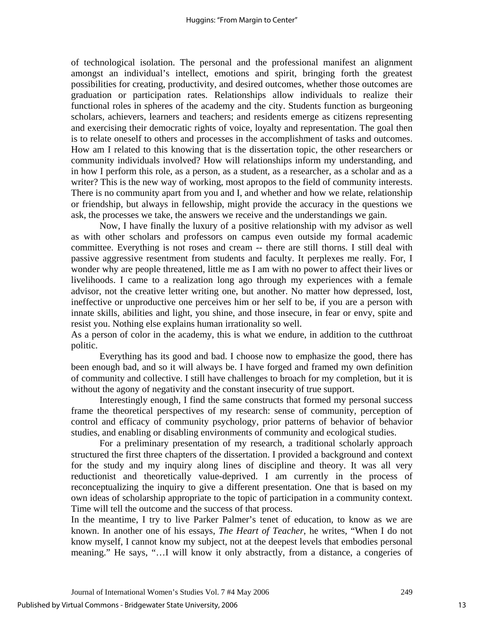of technological isolation. The personal and the professional manifest an alignment amongst an individual's intellect, emotions and spirit, bringing forth the greatest possibilities for creating, productivity, and desired outcomes, whether those outcomes are graduation or participation rates. Relationships allow individuals to realize their functional roles in spheres of the academy and the city. Students function as burgeoning scholars, achievers, learners and teachers; and residents emerge as citizens representing and exercising their democratic rights of voice, loyalty and representation. The goal then is to relate oneself to others and processes in the accomplishment of tasks and outcomes. How am I related to this knowing that is the dissertation topic, the other researchers or community individuals involved? How will relationships inform my understanding, and in how I perform this role, as a person, as a student, as a researcher, as a scholar and as a writer? This is the new way of working, most apropos to the field of community interests. There is no community apart from you and I, and whether and how we relate, relationship or friendship, but always in fellowship, might provide the accuracy in the questions we ask, the processes we take, the answers we receive and the understandings we gain.

 Now, I have finally the luxury of a positive relationship with my advisor as well as with other scholars and professors on campus even outside my formal academic committee. Everything is not roses and cream -- there are still thorns. I still deal with passive aggressive resentment from students and faculty. It perplexes me really. For, I wonder why are people threatened, little me as I am with no power to affect their lives or livelihoods. I came to a realization long ago through my experiences with a female advisor, not the creative letter writing one, but another. No matter how depressed, lost, ineffective or unproductive one perceives him or her self to be, if you are a person with innate skills, abilities and light, you shine, and those insecure, in fear or envy, spite and resist you. Nothing else explains human irrationality so well.

As a person of color in the academy, this is what we endure, in addition to the cutthroat politic.

 Everything has its good and bad. I choose now to emphasize the good, there has been enough bad, and so it will always be. I have forged and framed my own definition of community and collective. I still have challenges to broach for my completion, but it is without the agony of negativity and the constant insecurity of true support.

 Interestingly enough, I find the same constructs that formed my personal success frame the theoretical perspectives of my research: sense of community, perception of control and efficacy of community psychology, prior patterns of behavior of behavior studies, and enabling or disabling environments of community and ecological studies.

For a preliminary presentation of my research, a traditional scholarly approach structured the first three chapters of the dissertation. I provided a background and context for the study and my inquiry along lines of discipline and theory. It was all very reductionist and theoretically value-deprived. I am currently in the process of reconceptualizing the inquiry to give a different presentation. One that is based on my own ideas of scholarship appropriate to the topic of participation in a community context. Time will tell the outcome and the success of that process.

In the meantime, I try to live Parker Palmer's tenet of education, to know as we are known. In another one of his essays, *The Heart of Teacher*, he writes, "When I do not know myself, I cannot know my subject, not at the deepest levels that embodies personal meaning." He says, "…I will know it only abstractly, from a distance, a congeries of